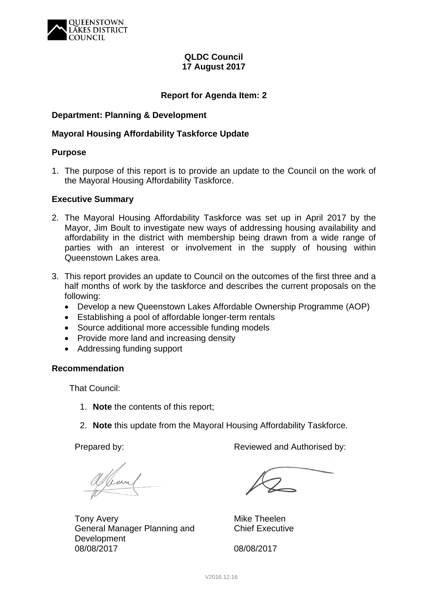

## **QLDC Council 17 August 2017**

## **Report for Agenda Item: 2**

## **Department: Planning & Development**

## **Mayoral Housing Affordability Taskforce Update**

### **Purpose**

1. The purpose of this report is to provide an update to the Council on the work of the Mayoral Housing Affordability Taskforce.

### **Executive Summary**

- 2. The Mayoral Housing Affordability Taskforce was set up in April 2017 by the Mayor, Jim Boult to investigate new ways of addressing housing availability and affordability in the district with membership being drawn from a wide range of parties with an interest or involvement in the supply of housing within Queenstown Lakes area.
- 3. This report provides an update to Council on the outcomes of the first three and a half months of work by the taskforce and describes the current proposals on the following:
	- Develop a new Queenstown Lakes Affordable Ownership Programme (AOP)
	- Establishing a pool of affordable longer-term rentals
	- Source additional more accessible funding models
	- Provide more land and increasing density
	- Addressing funding support

## **Recommendation**

That Council:

- 1. **Note** the contents of this report;
- 2. **Note** this update from the Mayoral Housing Affordability Taskforce.

Viem

Tony Avery General Manager Planning and Development 08/08/2017

Prepared by: The Reviewed and Authorised by:

Mike Theelen Chief Executive

08/08/2017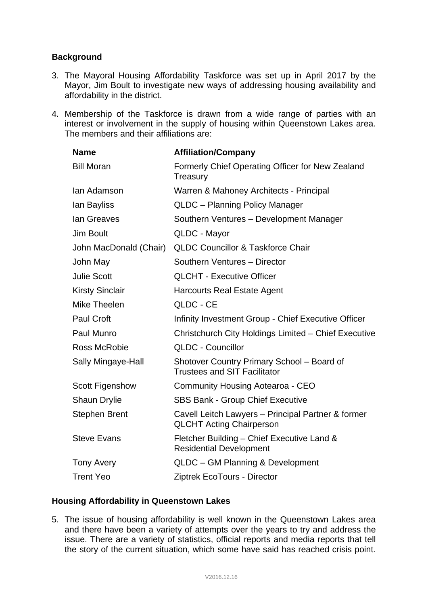# **Background**

- 3. The Mayoral Housing Affordability Taskforce was set up in April 2017 by the Mayor, Jim Boult to investigate new ways of addressing housing availability and affordability in the district.
- 4. Membership of the Taskforce is drawn from a wide range of parties with an interest or involvement in the supply of housing within Queenstown Lakes area. The members and their affiliations are:

| <b>Name</b>            | <b>Affiliation/Company</b>                                                            |
|------------------------|---------------------------------------------------------------------------------------|
| <b>Bill Moran</b>      | Formerly Chief Operating Officer for New Zealand<br>Treasury                          |
| lan Adamson            | Warren & Mahoney Architects - Principal                                               |
| lan Bayliss            | QLDC - Planning Policy Manager                                                        |
| lan Greaves            | Southern Ventures - Development Manager                                               |
| <b>Jim Boult</b>       | QLDC - Mayor                                                                          |
| John MacDonald (Chair) | <b>QLDC Councillor &amp; Taskforce Chair</b>                                          |
| John May               | Southern Ventures - Director                                                          |
| <b>Julie Scott</b>     | <b>QLCHT - Executive Officer</b>                                                      |
| <b>Kirsty Sinclair</b> | <b>Harcourts Real Estate Agent</b>                                                    |
| Mike Theelen           | QLDC - CE                                                                             |
| <b>Paul Croft</b>      | Infinity Investment Group - Chief Executive Officer                                   |
| Paul Munro             | Christchurch City Holdings Limited - Chief Executive                                  |
| <b>Ross McRobie</b>    | <b>QLDC - Councillor</b>                                                              |
| Sally Mingaye-Hall     | Shotover Country Primary School - Board of<br><b>Trustees and SIT Facilitator</b>     |
| <b>Scott Figenshow</b> | <b>Community Housing Aotearoa - CEO</b>                                               |
| <b>Shaun Drylie</b>    | <b>SBS Bank - Group Chief Executive</b>                                               |
| <b>Stephen Brent</b>   | Cavell Leitch Lawyers - Principal Partner & former<br><b>QLCHT Acting Chairperson</b> |
| <b>Steve Evans</b>     | Fletcher Building - Chief Executive Land &<br><b>Residential Development</b>          |
| <b>Tony Avery</b>      | QLDC - GM Planning & Development                                                      |
| <b>Trent Yeo</b>       | Ziptrek EcoTours - Director                                                           |

## **Housing Affordability in Queenstown Lakes**

5. The issue of housing affordability is well known in the Queenstown Lakes area and there have been a variety of attempts over the years to try and address the issue. There are a variety of statistics, official reports and media reports that tell the story of the current situation, which some have said has reached crisis point.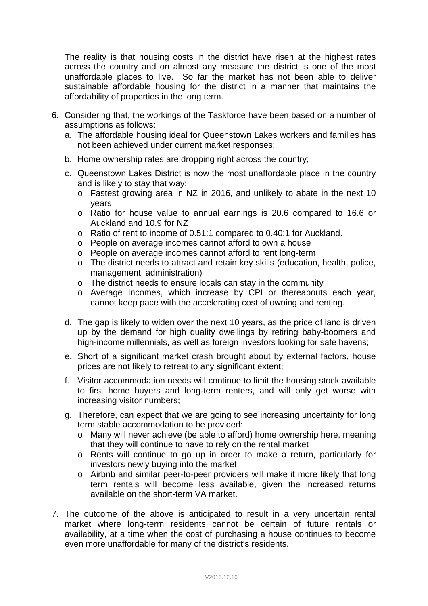The reality is that housing costs in the district have risen at the highest rates across the country and on almost any measure the district is one of the most unaffordable places to live. So far the market has not been able to deliver sustainable affordable housing for the district in a manner that maintains the affordability of properties in the long term.

- 6. Considering that, the workings of the Taskforce have been based on a number of assumptions as follows:
	- a. The affordable housing ideal for Queenstown Lakes workers and families has not been achieved under current market responses;
	- b. Home ownership rates are dropping right across the country;
	- c. Queenstown Lakes District is now the most unaffordable place in the country and is likely to stay that way:
		- o Fastest growing area in NZ in 2016, and unlikely to abate in the next 10 years
		- o Ratio for house value to annual earnings is 20.6 compared to 16.6 or Auckland and 10.9 for NZ
		- o Ratio of rent to income of 0.51:1 compared to 0.40:1 for Auckland.
		- o People on average incomes cannot afford to own a house
		- o People on average incomes cannot afford to rent long-term
		- o The district needs to attract and retain key skills (education, health, police, management, administration)
		- o The district needs to ensure locals can stay in the community
		- o Average Incomes, which increase by CPI or thereabouts each year, cannot keep pace with the accelerating cost of owning and renting.
	- d. The gap is likely to widen over the next 10 years, as the price of land is driven up by the demand for high quality dwellings by retiring baby-boomers and high-income millennials, as well as foreign investors looking for safe havens;
	- e. Short of a significant market crash brought about by external factors, house prices are not likely to retreat to any significant extent;
	- f. Visitor accommodation needs will continue to limit the housing stock available to first home buyers and long-term renters, and will only get worse with increasing visitor numbers;
	- g. Therefore, can expect that we are going to see increasing uncertainty for long term stable accommodation to be provided:
		- o Many will never achieve (be able to afford) home ownership here, meaning that they will continue to have to rely on the rental market
		- o Rents will continue to go up in order to make a return, particularly for investors newly buying into the market
		- o Airbnb and similar peer-to-peer providers will make it more likely that long term rentals will become less available, given the increased returns available on the short-term VA market.
- 7. The outcome of the above is anticipated to result in a very uncertain rental market where long-term residents cannot be certain of future rentals or availability, at a time when the cost of purchasing a house continues to become even more unaffordable for many of the district's residents.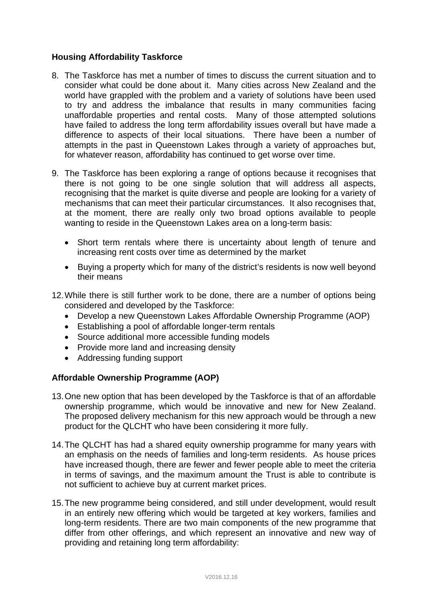## **Housing Affordability Taskforce**

- 8. The Taskforce has met a number of times to discuss the current situation and to consider what could be done about it. Many cities across New Zealand and the world have grappled with the problem and a variety of solutions have been used to try and address the imbalance that results in many communities facing unaffordable properties and rental costs. Many of those attempted solutions have failed to address the long term affordability issues overall but have made a difference to aspects of their local situations. There have been a number of attempts in the past in Queenstown Lakes through a variety of approaches but, for whatever reason, affordability has continued to get worse over time.
- 9. The Taskforce has been exploring a range of options because it recognises that there is not going to be one single solution that will address all aspects, recognising that the market is quite diverse and people are looking for a variety of mechanisms that can meet their particular circumstances. It also recognises that, at the moment, there are really only two broad options available to people wanting to reside in the Queenstown Lakes area on a long-term basis:
	- Short term rentals where there is uncertainty about length of tenure and increasing rent costs over time as determined by the market
	- Buying a property which for many of the district's residents is now well beyond their means
- 12. While there is still further work to be done, there are a number of options being considered and developed by the Taskforce:
	- Develop a new Queenstown Lakes Affordable Ownership Programme (AOP)
	- Establishing a pool of affordable longer-term rentals
	- Source additional more accessible funding models
	- Provide more land and increasing density
	- Addressing funding support

# **Affordable Ownership Programme (AOP)**

- 13. One new option that has been developed by the Taskforce is that of an affordable ownership programme, which would be innovative and new for New Zealand. The proposed delivery mechanism for this new approach would be through a new product for the QLCHT who have been considering it more fully.
- 14. The QLCHT has had a shared equity ownership programme for many years with an emphasis on the needs of families and long-term residents. As house prices have increased though, there are fewer and fewer people able to meet the criteria in terms of savings, and the maximum amount the Trust is able to contribute is not sufficient to achieve buy at current market prices.
- 15. The new programme being considered, and still under development, would result in an entirely new offering which would be targeted at key workers, families and long-term residents. There are two main components of the new programme that differ from other offerings, and which represent an innovative and new way of providing and retaining long term affordability: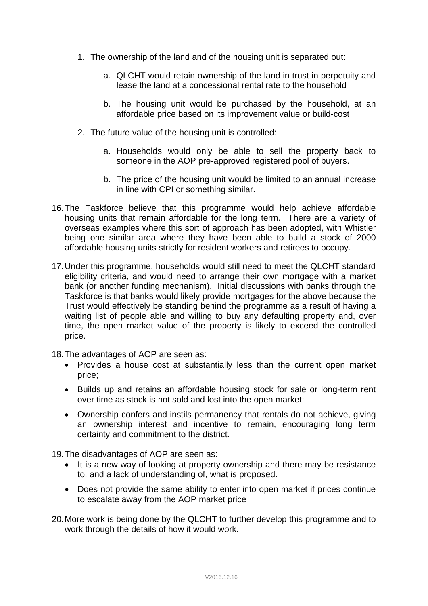- 1. The ownership of the land and of the housing unit is separated out:
	- a. QLCHT would retain ownership of the land in trust in perpetuity and lease the land at a concessional rental rate to the household
	- b. The housing unit would be purchased by the household, at an affordable price based on its improvement value or build-cost
- 2. The future value of the housing unit is controlled:
	- a. Households would only be able to sell the property back to someone in the AOP pre-approved registered pool of buyers.
	- b. The price of the housing unit would be limited to an annual increase in line with CPI or something similar.
- 16. The Taskforce believe that this programme would help achieve affordable housing units that remain affordable for the long term. There are a variety of overseas examples where this sort of approach has been adopted, with Whistler being one similar area where they have been able to build a stock of 2000 affordable housing units strictly for resident workers and retirees to occupy.
- 17. Under this programme, households would still need to meet the QLCHT standard eligibility criteria, and would need to arrange their own mortgage with a market bank (or another funding mechanism). Initial discussions with banks through the Taskforce is that banks would likely provide mortgages for the above because the Trust would effectively be standing behind the programme as a result of having a waiting list of people able and willing to buy any defaulting property and, over time, the open market value of the property is likely to exceed the controlled price.
- 18. The advantages of AOP are seen as:
	- Provides a house cost at substantially less than the current open market price;
	- Builds up and retains an affordable housing stock for sale or long-term rent over time as stock is not sold and lost into the open market;
	- Ownership confers and instils permanency that rentals do not achieve, giving an ownership interest and incentive to remain, encouraging long term certainty and commitment to the district.

19. The disadvantages of AOP are seen as:

- It is a new way of looking at property ownership and there may be resistance to, and a lack of understanding of, what is proposed.
- Does not provide the same ability to enter into open market if prices continue to escalate away from the AOP market price
- 20. More work is being done by the QLCHT to further develop this programme and to work through the details of how it would work.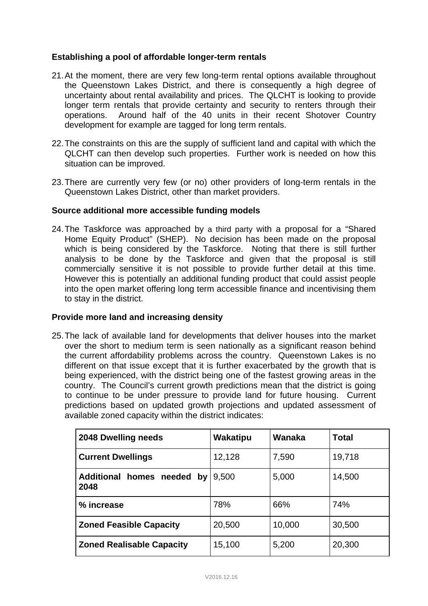## **Establishing a pool of affordable longer-term rentals**

- 21. At the moment, there are very few long-term rental options available throughout the Queenstown Lakes District, and there is consequently a high degree of uncertainty about rental availability and prices. The QLCHT is looking to provide longer term rentals that provide certainty and security to renters through their operations. Around half of the 40 units in their recent Shotover Country development for example are tagged for long term rentals.
- 22. The constraints on this are the supply of sufficient land and capital with which the QLCHT can then develop such properties. Further work is needed on how this situation can be improved.
- 23. There are currently very few (or no) other providers of long-term rentals in the Queenstown Lakes District, other than market providers.

### **Source additional more accessible funding models**

24. The Taskforce was approached by a third party with a proposal for a "Shared Home Equity Product" (SHEP). No decision has been made on the proposal which is being considered by the Taskforce. Noting that there is still further analysis to be done by the Taskforce and given that the proposal is still commercially sensitive it is not possible to provide further detail at this time. However this is potentially an additional funding product that could assist people into the open market offering long term accessible finance and incentivising them to stay in the district.

#### **Provide more land and increasing density**

25. The lack of available land for developments that deliver houses into the market over the short to medium term is seen nationally as a significant reason behind the current affordability problems across the country. Queenstown Lakes is no different on that issue except that it is further exacerbated by the growth that is being experienced, with the district being one of the fastest growing areas in the country. The Council's current growth predictions mean that the district is going to continue to be under pressure to provide land for future housing. Current predictions based on updated growth projections and updated assessment of available zoned capacity within the district indicates:

| 2048 Dwelling needs                   | Wakatipu | Wanaka | <b>Total</b> |
|---------------------------------------|----------|--------|--------------|
| <b>Current Dwellings</b>              | 12,128   | 7,590  | 19,718       |
| Additional homes needed<br>by<br>2048 | 9,500    | 5,000  | 14,500       |
| % increase                            | 78%      | 66%    | 74%          |
| <b>Zoned Feasible Capacity</b>        | 20,500   | 10,000 | 30,500       |
| <b>Zoned Realisable Capacity</b>      | 15,100   | 5,200  | 20,300       |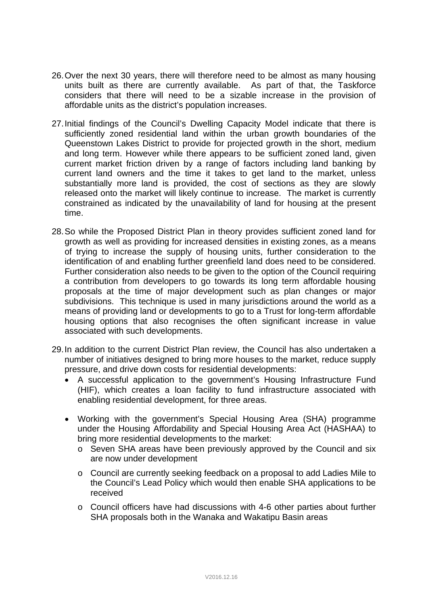- 26. Over the next 30 years, there will therefore need to be almost as many housing units built as there are currently available. As part of that, the Taskforce considers that there will need to be a sizable increase in the provision of affordable units as the district's population increases.
- 27. Initial findings of the Council's Dwelling Capacity Model indicate that there is sufficiently zoned residential land within the urban growth boundaries of the Queenstown Lakes District to provide for projected growth in the short, medium and long term. However while there appears to be sufficient zoned land, given current market friction driven by a range of factors including land banking by current land owners and the time it takes to get land to the market, unless substantially more land is provided, the cost of sections as they are slowly released onto the market will likely continue to increase. The market is currently constrained as indicated by the unavailability of land for housing at the present time.
- 28. So while the Proposed District Plan in theory provides sufficient zoned land for growth as well as providing for increased densities in existing zones, as a means of trying to increase the supply of housing units, further consideration to the identification of and enabling further greenfield land does need to be considered. Further consideration also needs to be given to the option of the Council requiring a contribution from developers to go towards its long term affordable housing proposals at the time of major development such as plan changes or major subdivisions. This technique is used in many jurisdictions around the world as a means of providing land or developments to go to a Trust for long-term affordable housing options that also recognises the often significant increase in value associated with such developments.
- 29. In addition to the current District Plan review, the Council has also undertaken a number of initiatives designed to bring more houses to the market, reduce supply pressure, and drive down costs for residential developments:
	- A successful application to the government's Housing Infrastructure Fund (HIF), which creates a loan facility to fund infrastructure associated with enabling residential development, for three areas.
	- Working with the government's Special Housing Area (SHA) programme under the Housing Affordability and Special Housing Area Act (HASHAA) to bring more residential developments to the market:
		- o Seven SHA areas have been previously approved by the Council and six are now under development
		- o Council are currently seeking feedback on a proposal to add Ladies Mile to the Council's Lead Policy which would then enable SHA applications to be received
		- o Council officers have had discussions with 4-6 other parties about further SHA proposals both in the Wanaka and Wakatipu Basin areas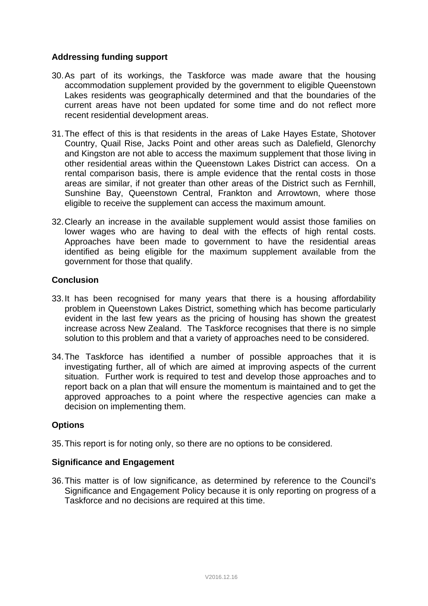## **Addressing funding support**

- 30. As part of its workings, the Taskforce was made aware that the housing accommodation supplement provided by the government to eligible Queenstown Lakes residents was geographically determined and that the boundaries of the current areas have not been updated for some time and do not reflect more recent residential development areas.
- 31. The effect of this is that residents in the areas of Lake Hayes Estate, Shotover Country, Quail Rise, Jacks Point and other areas such as Dalefield, Glenorchy and Kingston are not able to access the maximum supplement that those living in other residential areas within the Queenstown Lakes District can access. On a rental comparison basis, there is ample evidence that the rental costs in those areas are similar, if not greater than other areas of the District such as Fernhill, Sunshine Bay, Queenstown Central, Frankton and Arrowtown, where those eligible to receive the supplement can access the maximum amount.
- 32. Clearly an increase in the available supplement would assist those families on lower wages who are having to deal with the effects of high rental costs. Approaches have been made to government to have the residential areas identified as being eligible for the maximum supplement available from the government for those that qualify.

## **Conclusion**

- 33. It has been recognised for many years that there is a housing affordability problem in Queenstown Lakes District, something which has become particularly evident in the last few years as the pricing of housing has shown the greatest increase across New Zealand. The Taskforce recognises that there is no simple solution to this problem and that a variety of approaches need to be considered.
- 34. The Taskforce has identified a number of possible approaches that it is investigating further, all of which are aimed at improving aspects of the current situation. Further work is required to test and develop those approaches and to report back on a plan that will ensure the momentum is maintained and to get the approved approaches to a point where the respective agencies can make a decision on implementing them.

## **Options**

35. This report is for noting only, so there are no options to be considered.

## **Significance and Engagement**

36. This matter is of low significance, as determined by reference to the Council's Significance and Engagement Policy because it is only reporting on progress of a Taskforce and no decisions are required at this time.